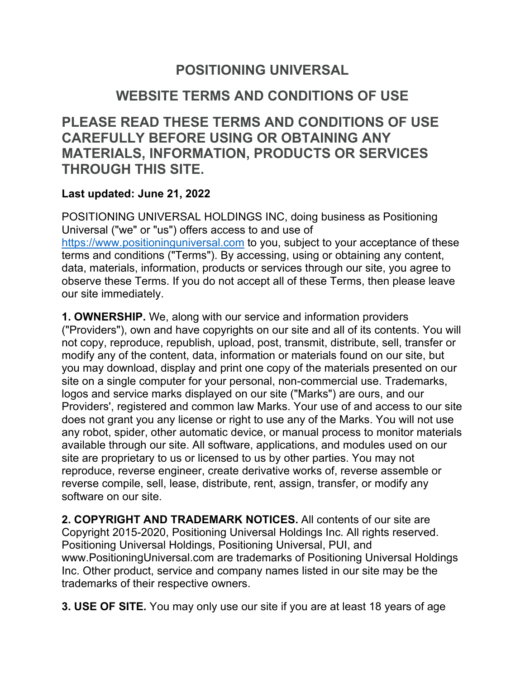## **POSITIONING UNIVERSAL**

## **WEBSITE TERMS AND CONDITIONS OF USE**

**PLEASE READ THESE TERMS AND CONDITIONS OF USE CAREFULLY BEFORE USING OR OBTAINING ANY MATERIALS, INFORMATION, PRODUCTS OR SERVICES THROUGH THIS SITE.**

## **Last updated: June 21, 2022**

POSITIONING UNIVERSAL HOLDINGS INC, doing business as Positioning Universal ("we" or "us") offers access to and use of https://www.positioninguniversal.com to you, subject to your acceptance of these terms and conditions ("Terms"). By accessing, using or obtaining any content, data, materials, information, products or services through our site, you agree to observe these Terms. If you do not accept all of these Terms, then please leave our site immediately.

**1. OWNERSHIP.** We, along with our service and information providers ("Providers"), own and have copyrights on our site and all of its contents. You will not copy, reproduce, republish, upload, post, transmit, distribute, sell, transfer or modify any of the content, data, information or materials found on our site, but you may download, display and print one copy of the materials presented on our site on a single computer for your personal, non-commercial use. Trademarks, logos and service marks displayed on our site ("Marks") are ours, and our Providers', registered and common law Marks. Your use of and access to our site does not grant you any license or right to use any of the Marks. You will not use any robot, spider, other automatic device, or manual process to monitor materials available through our site. All software, applications, and modules used on our site are proprietary to us or licensed to us by other parties. You may not reproduce, reverse engineer, create derivative works of, reverse assemble or reverse compile, sell, lease, distribute, rent, assign, transfer, or modify any software on our site.

**2. COPYRIGHT AND TRADEMARK NOTICES.** All contents of our site are Copyright 2015-2020, Positioning Universal Holdings Inc. All rights reserved. Positioning Universal Holdings, Positioning Universal, PUI, and www.PositioningUniversal.com are trademarks of Positioning Universal Holdings Inc. Other product, service and company names listed in our site may be the trademarks of their respective owners.

**3. USE OF SITE.** You may only use our site if you are at least 18 years of age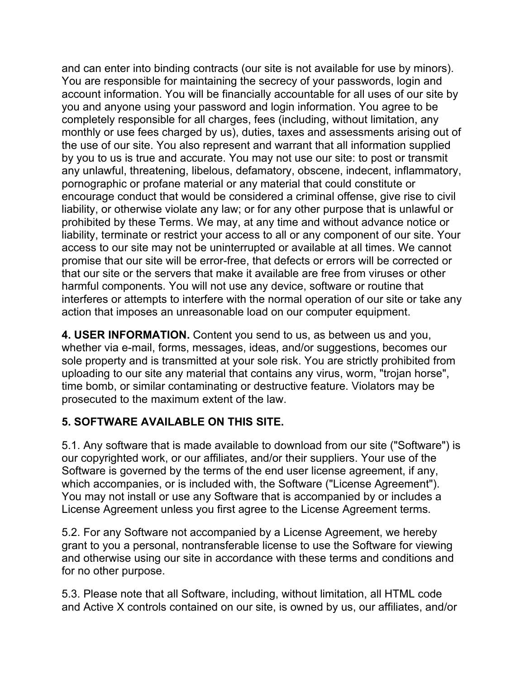and can enter into binding contracts (our site is not available for use by minors). You are responsible for maintaining the secrecy of your passwords, login and account information. You will be financially accountable for all uses of our site by you and anyone using your password and login information. You agree to be completely responsible for all charges, fees (including, without limitation, any monthly or use fees charged by us), duties, taxes and assessments arising out of the use of our site. You also represent and warrant that all information supplied by you to us is true and accurate. You may not use our site: to post or transmit any unlawful, threatening, libelous, defamatory, obscene, indecent, inflammatory, pornographic or profane material or any material that could constitute or encourage conduct that would be considered a criminal offense, give rise to civil liability, or otherwise violate any law; or for any other purpose that is unlawful or prohibited by these Terms. We may, at any time and without advance notice or liability, terminate or restrict your access to all or any component of our site. Your access to our site may not be uninterrupted or available at all times. We cannot promise that our site will be error-free, that defects or errors will be corrected or that our site or the servers that make it available are free from viruses or other harmful components. You will not use any device, software or routine that interferes or attempts to interfere with the normal operation of our site or take any action that imposes an unreasonable load on our computer equipment.

**4. USER INFORMATION.** Content you send to us, as between us and you, whether via e-mail, forms, messages, ideas, and/or suggestions, becomes our sole property and is transmitted at your sole risk. You are strictly prohibited from uploading to our site any material that contains any virus, worm, "trojan horse", time bomb, or similar contaminating or destructive feature. Violators may be prosecuted to the maximum extent of the law.

## **5. SOFTWARE AVAILABLE ON THIS SITE.**

5.1. Any software that is made available to download from our site ("Software") is our copyrighted work, or our affiliates, and/or their suppliers. Your use of the Software is governed by the terms of the end user license agreement, if any, which accompanies, or is included with, the Software ("License Agreement"). You may not install or use any Software that is accompanied by or includes a License Agreement unless you first agree to the License Agreement terms.

5.2. For any Software not accompanied by a License Agreement, we hereby grant to you a personal, nontransferable license to use the Software for viewing and otherwise using our site in accordance with these terms and conditions and for no other purpose.

5.3. Please note that all Software, including, without limitation, all HTML code and Active X controls contained on our site, is owned by us, our affiliates, and/or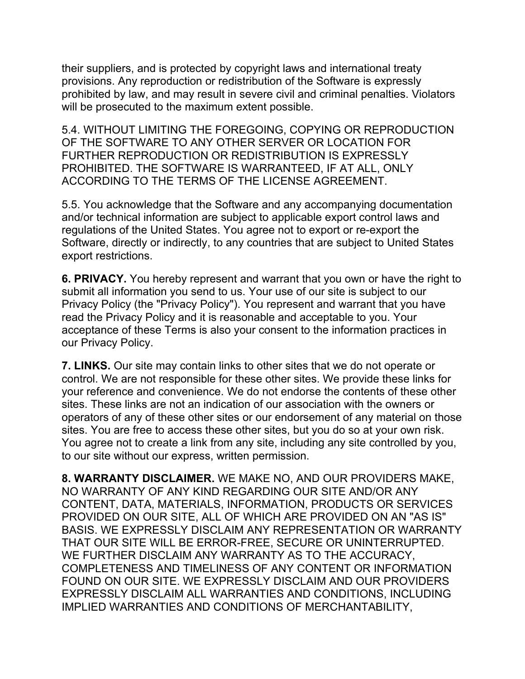their suppliers, and is protected by copyright laws and international treaty provisions. Any reproduction or redistribution of the Software is expressly prohibited by law, and may result in severe civil and criminal penalties. Violators will be prosecuted to the maximum extent possible.

5.4. WITHOUT LIMITING THE FOREGOING, COPYING OR REPRODUCTION OF THE SOFTWARE TO ANY OTHER SERVER OR LOCATION FOR FURTHER REPRODUCTION OR REDISTRIBUTION IS EXPRESSLY PROHIBITED. THE SOFTWARE IS WARRANTEED, IF AT ALL, ONLY ACCORDING TO THE TERMS OF THE LICENSE AGREEMENT.

5.5. You acknowledge that the Software and any accompanying documentation and/or technical information are subject to applicable export control laws and regulations of the United States. You agree not to export or re-export the Software, directly or indirectly, to any countries that are subject to United States export restrictions.

**6. PRIVACY.** You hereby represent and warrant that you own or have the right to submit all information you send to us. Your use of our site is subject to our Privacy Policy (the "Privacy Policy"). You represent and warrant that you have read the Privacy Policy and it is reasonable and acceptable to you. Your acceptance of these Terms is also your consent to the information practices in our Privacy Policy.

**7. LINKS.** Our site may contain links to other sites that we do not operate or control. We are not responsible for these other sites. We provide these links for your reference and convenience. We do not endorse the contents of these other sites. These links are not an indication of our association with the owners or operators of any of these other sites or our endorsement of any material on those sites. You are free to access these other sites, but you do so at your own risk. You agree not to create a link from any site, including any site controlled by you, to our site without our express, written permission.

**8. WARRANTY DISCLAIMER.** WE MAKE NO, AND OUR PROVIDERS MAKE, NO WARRANTY OF ANY KIND REGARDING OUR SITE AND/OR ANY CONTENT, DATA, MATERIALS, INFORMATION, PRODUCTS OR SERVICES PROVIDED ON OUR SITE, ALL OF WHICH ARE PROVIDED ON AN "AS IS" BASIS. WE EXPRESSLY DISCLAIM ANY REPRESENTATION OR WARRANTY THAT OUR SITE WILL BE ERROR-FREE, SECURE OR UNINTERRUPTED. WE FURTHER DISCLAIM ANY WARRANTY AS TO THE ACCURACY, COMPLETENESS AND TIMELINESS OF ANY CONTENT OR INFORMATION FOUND ON OUR SITE. WE EXPRESSLY DISCLAIM AND OUR PROVIDERS EXPRESSLY DISCLAIM ALL WARRANTIES AND CONDITIONS, INCLUDING IMPLIED WARRANTIES AND CONDITIONS OF MERCHANTABILITY,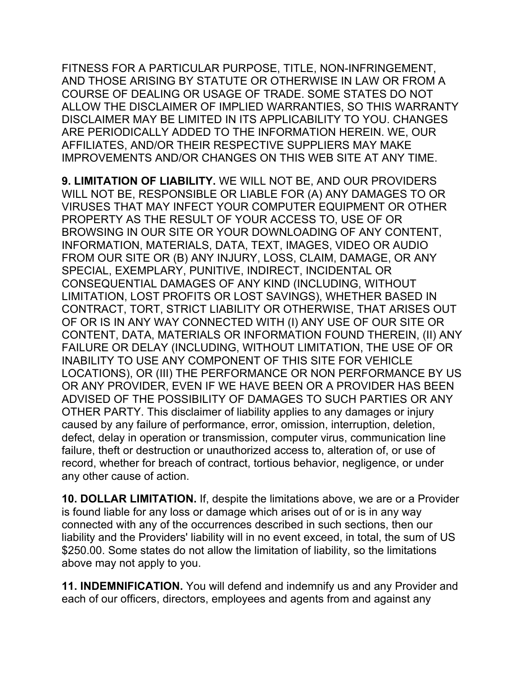FITNESS FOR A PARTICULAR PURPOSE, TITLE, NON-INFRINGEMENT, AND THOSE ARISING BY STATUTE OR OTHERWISE IN LAW OR FROM A COURSE OF DEALING OR USAGE OF TRADE. SOME STATES DO NOT ALLOW THE DISCLAIMER OF IMPLIED WARRANTIES, SO THIS WARRANTY DISCLAIMER MAY BE LIMITED IN ITS APPLICABILITY TO YOU. CHANGES ARE PERIODICALLY ADDED TO THE INFORMATION HEREIN. WE, OUR AFFILIATES, AND/OR THEIR RESPECTIVE SUPPLIERS MAY MAKE IMPROVEMENTS AND/OR CHANGES ON THIS WEB SITE AT ANY TIME.

**9. LIMITATION OF LIABILITY.** WE WILL NOT BE, AND OUR PROVIDERS WILL NOT BE, RESPONSIBLE OR LIABLE FOR (A) ANY DAMAGES TO OR VIRUSES THAT MAY INFECT YOUR COMPUTER EQUIPMENT OR OTHER PROPERTY AS THE RESULT OF YOUR ACCESS TO, USE OF OR BROWSING IN OUR SITE OR YOUR DOWNLOADING OF ANY CONTENT, INFORMATION, MATERIALS, DATA, TEXT, IMAGES, VIDEO OR AUDIO FROM OUR SITE OR (B) ANY INJURY, LOSS, CLAIM, DAMAGE, OR ANY SPECIAL, EXEMPLARY, PUNITIVE, INDIRECT, INCIDENTAL OR CONSEQUENTIAL DAMAGES OF ANY KIND (INCLUDING, WITHOUT LIMITATION, LOST PROFITS OR LOST SAVINGS), WHETHER BASED IN CONTRACT, TORT, STRICT LIABILITY OR OTHERWISE, THAT ARISES OUT OF OR IS IN ANY WAY CONNECTED WITH (I) ANY USE OF OUR SITE OR CONTENT, DATA, MATERIALS OR INFORMATION FOUND THEREIN, (II) ANY FAILURE OR DELAY (INCLUDING, WITHOUT LIMITATION, THE USE OF OR INABILITY TO USE ANY COMPONENT OF THIS SITE FOR VEHICLE LOCATIONS), OR (III) THE PERFORMANCE OR NON PERFORMANCE BY US OR ANY PROVIDER, EVEN IF WE HAVE BEEN OR A PROVIDER HAS BEEN ADVISED OF THE POSSIBILITY OF DAMAGES TO SUCH PARTIES OR ANY OTHER PARTY. This disclaimer of liability applies to any damages or injury caused by any failure of performance, error, omission, interruption, deletion, defect, delay in operation or transmission, computer virus, communication line failure, theft or destruction or unauthorized access to, alteration of, or use of record, whether for breach of contract, tortious behavior, negligence, or under any other cause of action.

**10. DOLLAR LIMITATION.** If, despite the limitations above, we are or a Provider is found liable for any loss or damage which arises out of or is in any way connected with any of the occurrences described in such sections, then our liability and the Providers' liability will in no event exceed, in total, the sum of US \$250.00. Some states do not allow the limitation of liability, so the limitations above may not apply to you.

**11. INDEMNIFICATION.** You will defend and indemnify us and any Provider and each of our officers, directors, employees and agents from and against any